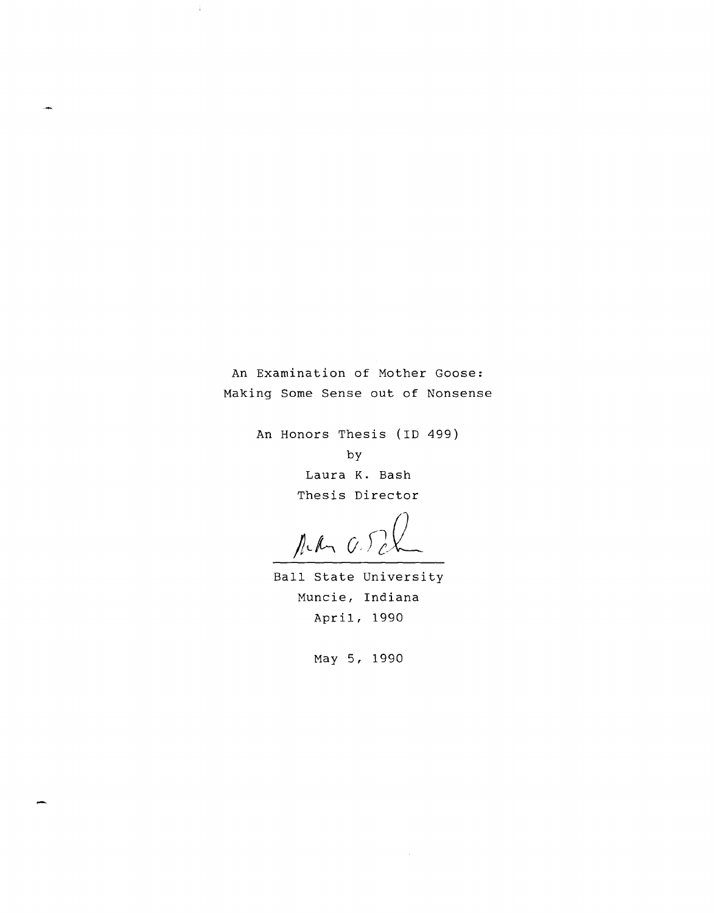An Examination of Mother Goose: Making Some Sense out of Nonsense

-i

An Honors Thesis (ID 499)

by

Laura K. Bash Thesis Director

Ned arch

Ball State University Muncie, Indiana April, 1990

May 5, 1990

.-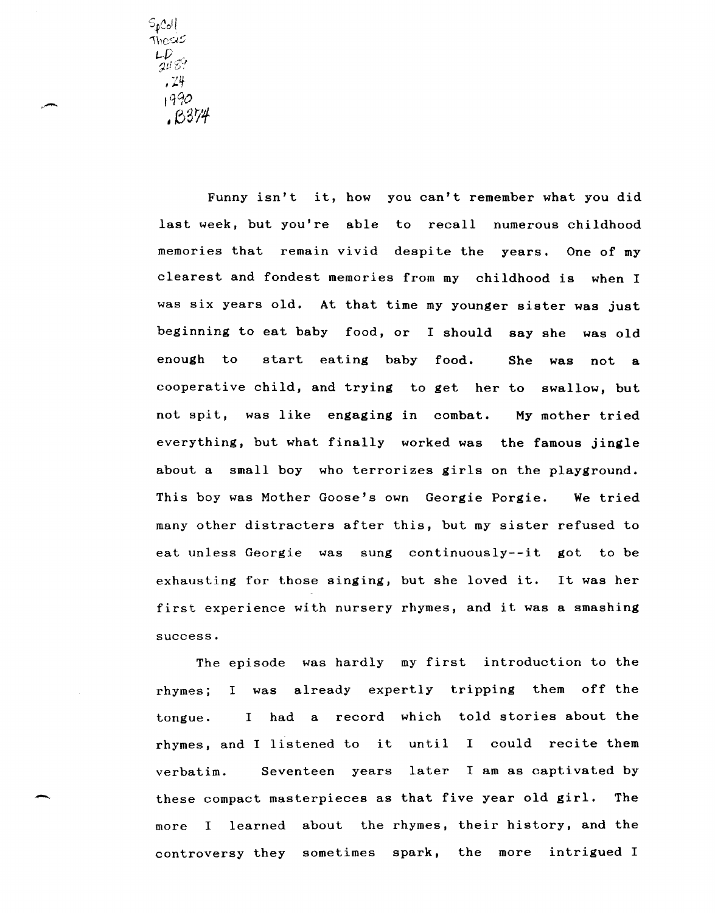$S_{\rho}$ Coll thesis LD<br>gu 8?  $, 74$ 1'190 *,03'1'4* 

> Funny isn't it, how you can't remember what you did last week, but you're able to recall numerous childhood memories that remain vivid despite the years. One of my clearest and fondest memories from my childhood is when I was six years old. At that time my younger sister was just beginning to eat baby food, or I should say she was old enough to start eating baby food. She was not a cooperative child, and trying to get her to swallow, but not spit, was like engaging in combat. My mother tried everything, but what finally worked was the famous jingle about a small boy who terrorizes girls on the playground. This boy was Mother Goose's own Georgie Porgie. We tried many other distracters after this, but my sister refused to eat unless Georgie was sung continuously--it got to be exhausting for those singing, but she loved it. It was her first experience with nursery rhymes, and it was a smashing success.

> The episode was hardly my first introduction to the rhymes; I was already expertly tripping them off the tongue. I had a record which told stories about the rhymes, and I listened to it until I could recite them verbatim. Seventeen years later I am as captivated by these compact masterpieces as that five year old girl. The more I learned about the rhymes, their history, and the controversy they sometimes spark, the more intrigued I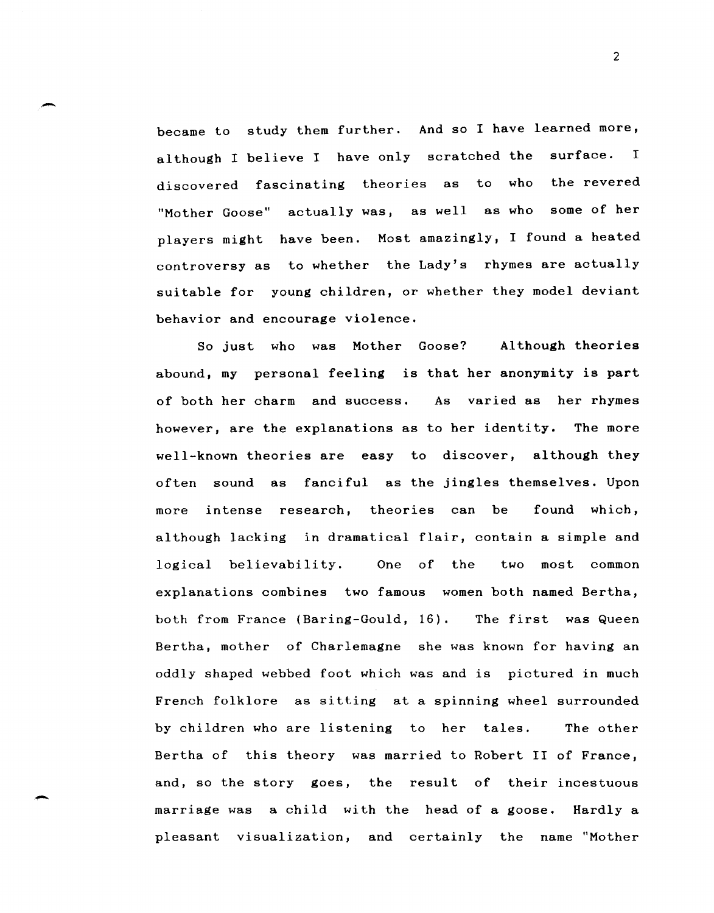became to study them further. And so I have learned more, although I believe I have only scratched the surface. I discovered fascinating theories as to who the revered "Mother Goose" actually was, as well as who some of her players might have been. Most amazingly, I found a heated controversy as to whether the Lady's rhymes are actually suitable for young children, or whether they model deviant behavior and encourage violence.

-

-

So just who was Mother Goose? Although theories abound, my personal feeling is that her anonymity is part of both her charm and success. As varied as her rhymes however, are the explanations as to her identity. The more well-known theories are easy to discover, although they often sound as fanciful as the jingles themselves. Upon more intense research, theories can be found which, although lacking in dramatical flair, contain a simple and logical believability. One of the two most common explanations combines two famous women both named Bertha, both from France (Baring-Gould, 16). The first was Queen Bertha, mother of Charlemagne she was known for having an oddly shaped webbed foot which was and is pictured in much French folklore as sitting at a spinning wheel surrounded by children who are listening to her tales. The other Bertha of this theory was married to Robert II of France, and, so the story goes, the result of their incestuous marriage was a child with the head of a goose. Hardly a pleasant visualization, and certainly the name "Mother

2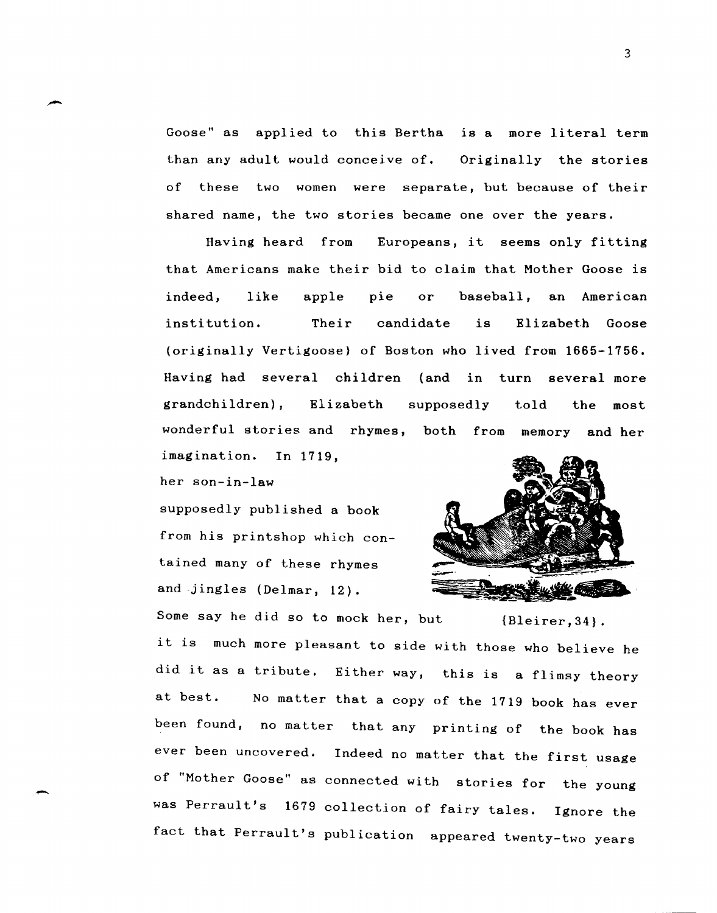Goose" as applied to this Bertha is a more literal term than any adult would conceive of. Originally the stories of these two women were separate, but because of their shared name, the two stories became one over the years.

Having heard from Europeans, it seems only fitting that Americans make their bid to claim that Mother Goose is indeed, like apple pie or baseball, an American institution. Their candidate is Elizabeth Goose (originally Vertigoose) of Boston who lived from 1665-1756. Having had several children (and in turn several more grandchildren) , Elizabeth wonderful stories and rhymes, both from memory and her supposedly told the most

imagination. In 1719,

her son-in-law

.-

supposedly published a book from his printshop which contained many of these rhymes and jingles (Delmar, 12).



Some say he did so to mock her, but  ${Bleirer,34}.$ it is much more pleasant to side with those who believe he did it as a tribute. Either way, this is a flimsy theory at best. No matter that a copy of the 1719 book has ever been found, no matter that any printing of the book has ever been uncovered. Indeed no matter that the first usage of "Mother Goose" as connected with stories for the young was Perrault's 1679 collection of fairy tales. Ignore the fact that Perrault's publication appeared twenty-two years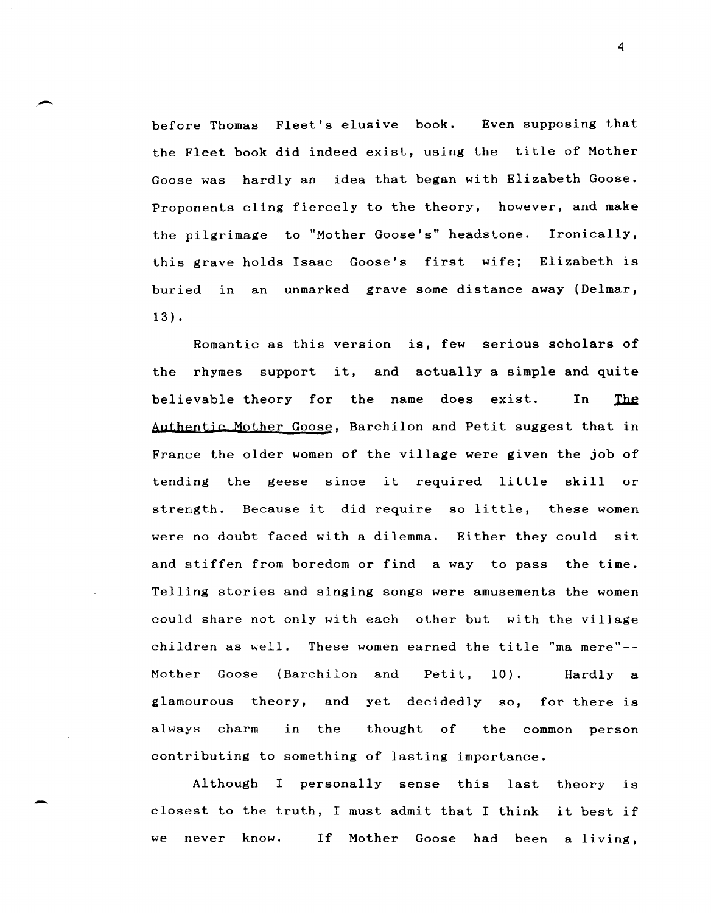before Thomas Fleet's elusive book. Even supposing that the Fleet book did indeed exist, using the title of Mother Goose was hardly an idea that began with Elizabeth Goose. Proponents cling fiercely to the theory, however, and make the pilgrimage to "Mother Goose's" headstone. Ironically, this grave holds Isaac Goose's first wife; Elizabeth is buried in an unmarked grave some distance away (Delmar, 13) •

-

-

Romantic as this version is, few serious scholars of the rhymes support it, and actually a simple and quite believable theory for the name does exist. In The Authentic Mother Goose, Barchilon and Petit suggest that in France the older women of the village were given the job of tending the geese since it required little skill or strength. Because it did require so little, these women were no doubt faced with a dilemma. Either they could sit and stiffen from boredom or find a way to pass the time. Telling stories and singing songs were amusements the women could share not only with each other but with the village children as well. These women earned the title "ma mere" $-$ -Mother Goose (Barchilon and Petit, 10). Hardly a glamourous always charm in and yet decidedly so, for there is the thought of the common person contributing to something of lasting importance.

Although I personally sense this last theory is closest to the truth, I must admit that I think it best if we never know. If Mother Goose had been a living,

4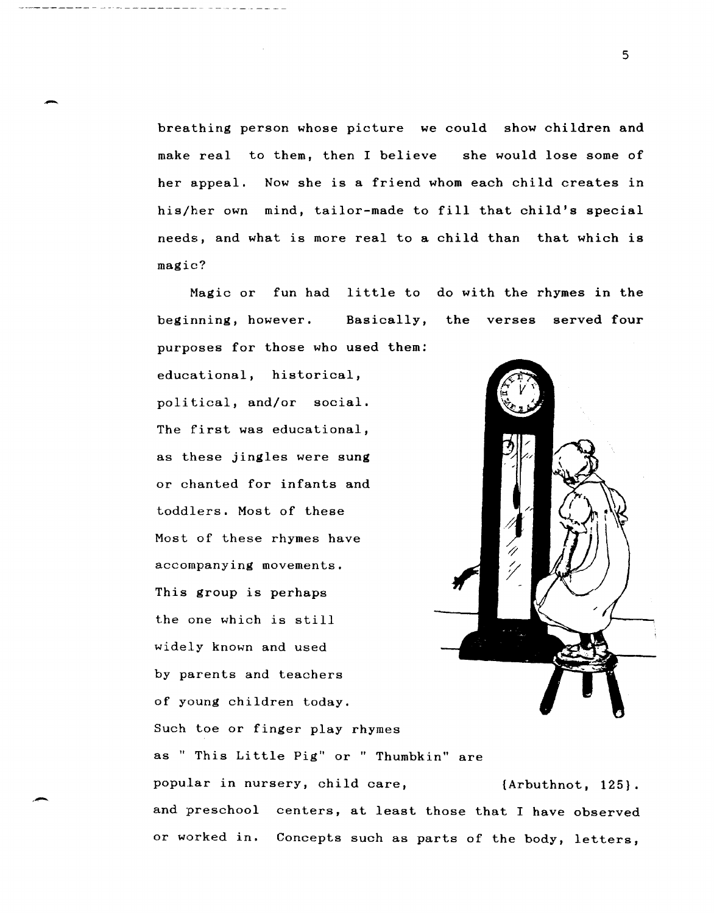breathing person whose picture we could show children and make real to them, then I believe she would lose some of her appeal. Now she is a friend whom each child creates in his/her own mind, tailor-made to fill that child's special needs, and what is more real to a child than that which is magic?

Magic or fun had little to do with the rhymes in the beginning, however. Basically, the verses served four purposes for those who used them:

educational, historical, political, and/or social. The first was educational, as these jingles were sung or chanted for infants and toddlers. Most of these Most of these rhymes have accompanying movements. This group is perhaps the one which is still widely known and used by parents and teachers of young children today. Such toe or finger play rhymes as " This Little Pig" or " Thumbkin" are

-

,-



popular in nursery, child care,  ${Arbuthnot, 125}.$ and preschool centers, at least those that I have observed or worked in. Concepts such as parts of the body, letters,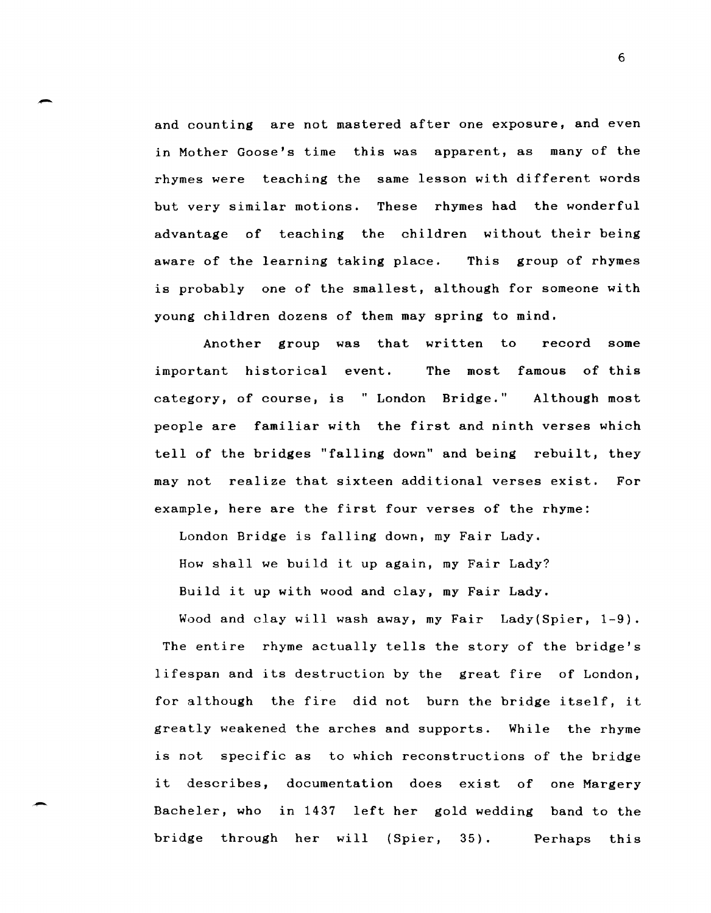and counting are not mastered after one exposure, and even in Mother Goose's time this was apparent, as many of the rhymes were teaching the same lesson with different words but very similar motions. These rhymes had the wonderful advantage of teaching the children without their being aware of the learning taking place. This group of rhymes is probably one of the smallest, although for someone with young children dozens of them may spring to mind.

-

-

Another group was that written to record some important historical event. The most famous of this category, of course, is "London Bridge." Although most people are familiar with the first and ninth verses which tell of the bridges "falling down" and being rebuilt, they may not realize that sixteen additional verses exist. For example, here are the first four verses of the rhyme:

London Bridge is falling down, my Fair Lady.

How shall we build it up again, my Fair Lady?

Build it up with wood and clay, my Fair Lady.

Wood and clay will wash away, my Fair Lady(Spier, 1-9). The entire rhyme actually tells the story of the bridge's lifespan and its destruction by the great fire of London, for although the fire did not burn the bridge itself, it greatly weakened the arches and supports. While the rhyme is not specific as to which reconstructions of the bridge it describes, documentation does exist of one Margery Bacheler, who in 1437 left her gold wedding band to the bridge through her will (Spier, 35). Perhaps this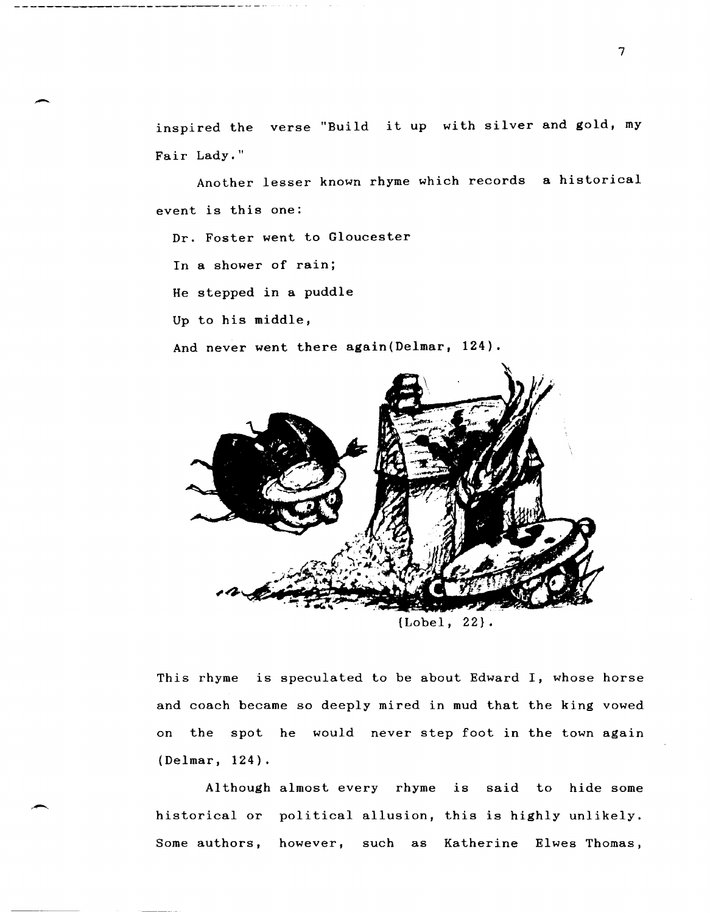inspired the verse "Build it up with silver and gold, my Fair Lady."

Another lesser known rhyme which records a historical event is this one:

Dr. Foster went to Gloucester

In a shower of rain;

-

.-

He stepped in a puddle

Up to his middle,

And never went there again(Delmar, 124).



{Lobel, 22}.

This rhyme is speculated to be about Edward I, whose horse and coach became so deeply mired in mud that the king vowed on the spot he would never step foot in the town again (Delmar, 124).

Although almost every rhyme is said to hide some historical or political allusion, this is highly unlikely. Some authors, however, such as Katherine Elwes Thomas,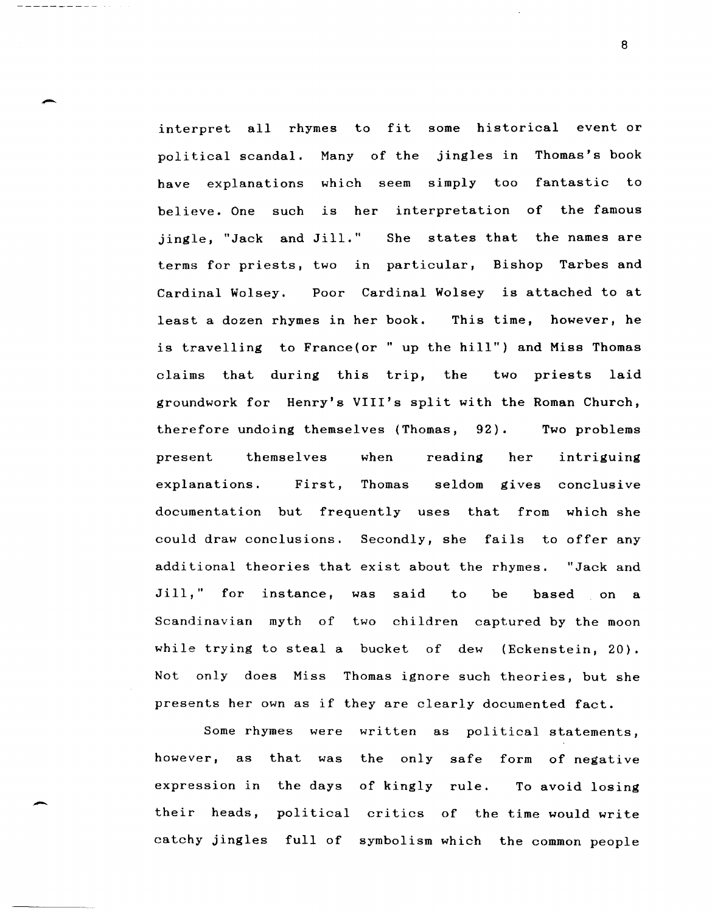interpret all rhymes to fit some historical event or political scandal. Many of the jingles in Thomas's book have explanations which seem simply too fantastic to believe. One such is her interpretation of the famous jingle, "Jack and Jill." She states that the names are terms for priests, two in particular, Bishop Tarbes and Cardinal Wolsey. Poor Cardinal Wolsey is attached to at least a dozen rhymes in her book. This time, however, he is travelling to France(or " up the hill") and Miss Thomas claims that during this trip, the two priests laid groundwork for Henry's VIII's split with the Roman Church, therefore undoing themselves (Thomas, 92). Two problems present themselves when reading her intriguing explanations. First, Thomas seldom gives conclusive documentation but frequently uses that from which she could draw conclusions. Secondly, she fails to offer any additional theories that exist about the rhymes. "Jack and Jill," for instance, was said to be based on a Scandinavian myth of two children captured by the moon while trying to steal a bucket of dew (Eckenstein, 20). Not only does Miss Thomas ignore such theories, but she presents her own as if they are clearly documented fact.

-

-

Some rhymes were written as political statements, however, as that was the only safe form of negative expression in the days of kingly rule. To avoid losing their heads, political critics of the time would write catchy jingles full of symbolism which the common people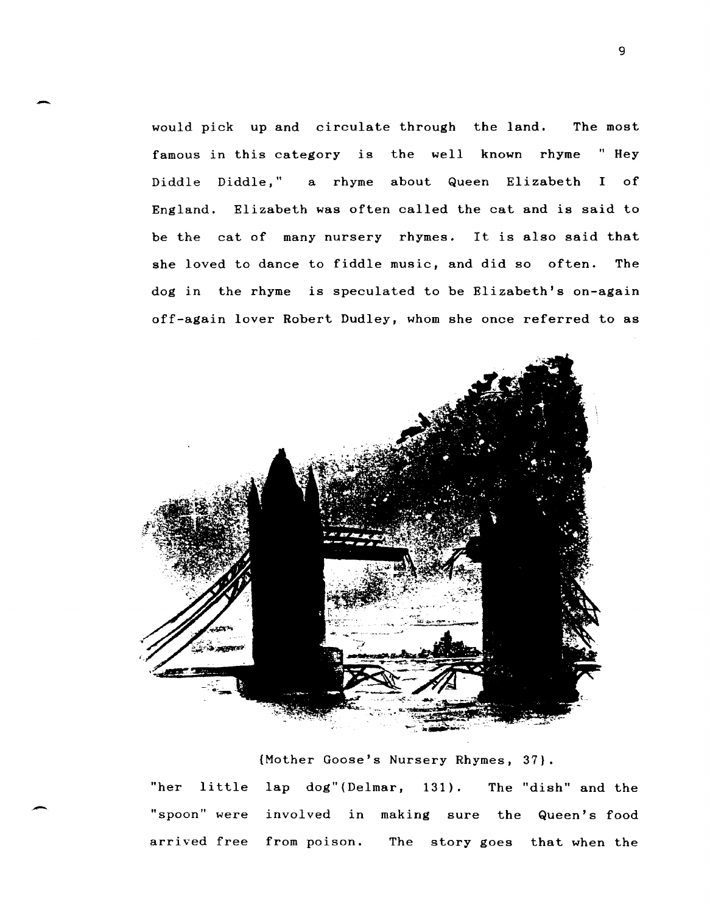would pick up and circulate through the land. The most famous in this category is the well known rhyme "Hey Diddle Diddle," a rhyme about Queen Elizabeth I of England. Elizabeth was often called the cat and is said to be the cat of many nursery rhymes. It is also said that she loved to dance to fiddle music, and did so often. The dog in the rhyme is speculated to be Elizabeth's on-again off-again lover Robert Dudley, whom she once referred to as

-



{Mother Goose's Nursery Rhymes, 37}. "her little lap dog" (Delmar, 131) . The "dish" and the "spoon" were involved in making sure the Queen's food arrived free from poison. The story goes that when the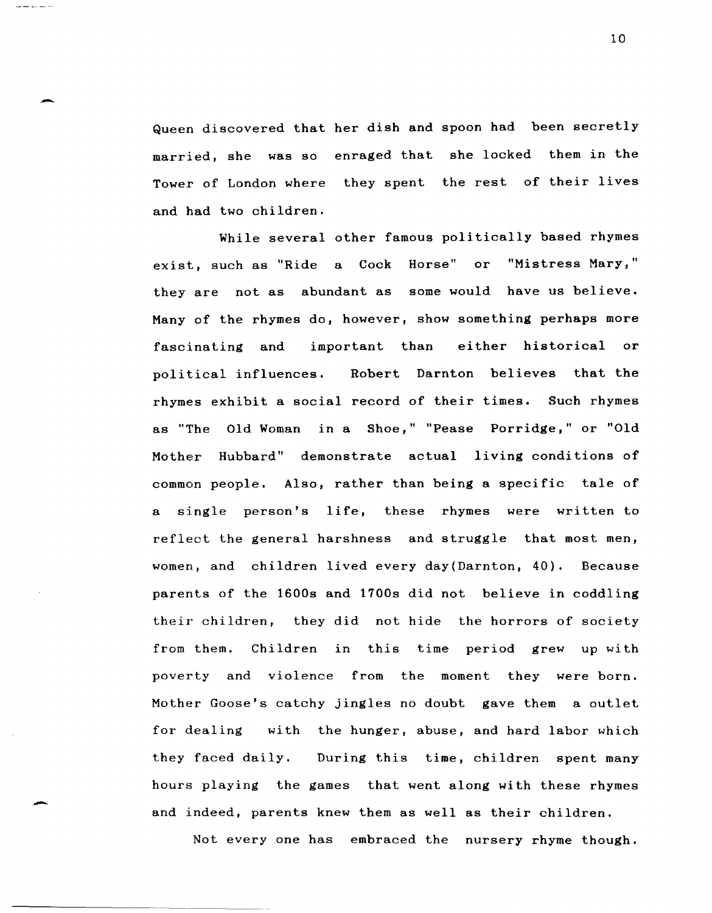Queen discovered that her dish and spoon had been secretly married, she was so enraged that she locked them in the Tower of London where they spent the rest of their lives and had two children.

-

While several other famous politically based rhymes exist, such as "Ride a Cock Horse" or "Mistress Mary," they are not as abundant as some would have us believe. Many of the rhymes do, however, show something perhaps more fascinating and important than either historical or political influences. Robert Darnton believes that the rhymes exhibit a social record of their times. Such rhymes as "The Old Woman in a Shoe," "Pease Porridge," or "Old Mother Hubbard" demonstrate actual living conditions of common people. Also, rather than being a specific tale of a single person's life, these rhymes were written to reflect the general harshness and struggle that most men, women, and children lived every day(Darnton, 40). Because parents of the 1600s and 1700s did not believe in coddling their children, they did not hide the horrors of society from them. Children in this time period grew up with poverty and violence from the moment they were born. Mother Goose's catchy jingles no doubt gave them a outlet for dealing with the hunger, abuse, and hard labor which they faced daily. During this time, children spent many hours playing the games that went along with these rhymes and indeed, parents knew them as well as their children.

Not every one has embraced the nursery rhyme though.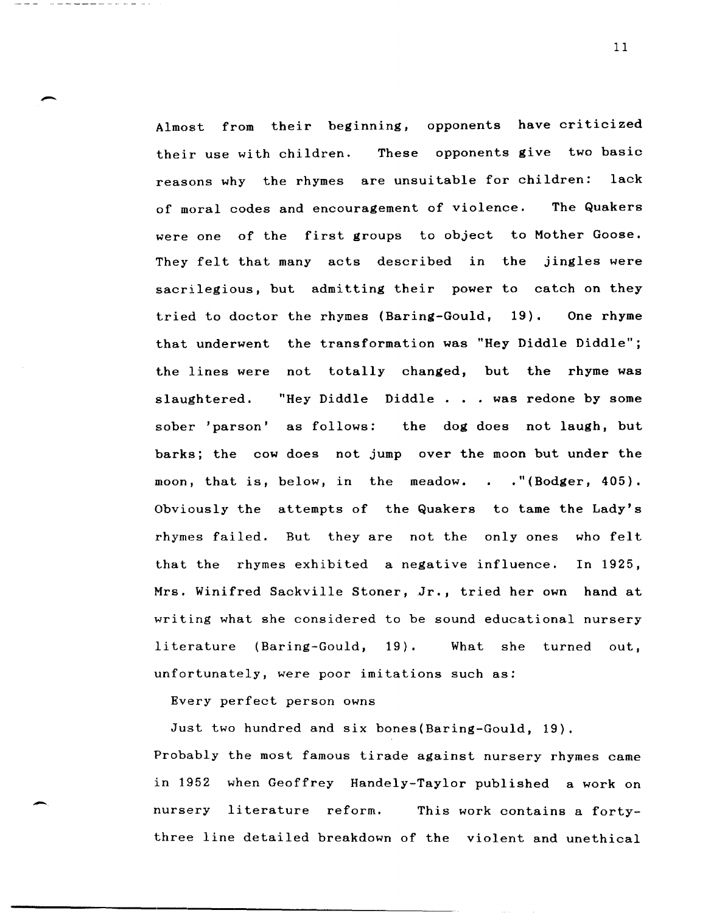Almost from their beginning, opponents have criticized their use with children. These opponents give two basic reasons why the rhymes are unsuitable for children: lack of moral codes and encouragement of violence. The Quakers were one of the first groups to object to Mother Goose. They felt that many acts described in the jingles were sacrilegious, but admitting their power to catch on they tried to doctor the rhymes (Baring-Gould, 19). One rhyme that underwent the transformation was "Hey Diddle Diddle"; the lines were not totally changed, but the rhyme was slaughtered. "Hey Diddle Diddle . . . was redone by some sober 'parson' as follows: the dog does not laugh, but barks; the cow does not jump over the moon but under the moon, that is, below, in the meadow. . . "(Bodger, 405). Obviously the attempts of the Quakers to tame the Lady's rhymes failed. But they are not the only ones who felt that the rhymes exhibited a negative influence. In 1925, Mrs. Winifred Sackville Stoner, Jr., tried her own hand at writing what she considered to be sound educational nursery literature (Baring-Gould, 19). What she turned out, unfortunately, were poor imitations such as:

Every perfect person owns

-

Just two hundred and six bones(Baring-Gould, 19).

Probably the most famous tirade against nursery rhymes came in 1952 when Geoffrey Handely-Taylor published a work on nursery literature reform. This work contains a fortythree line detailed breakdown of the violent and unethical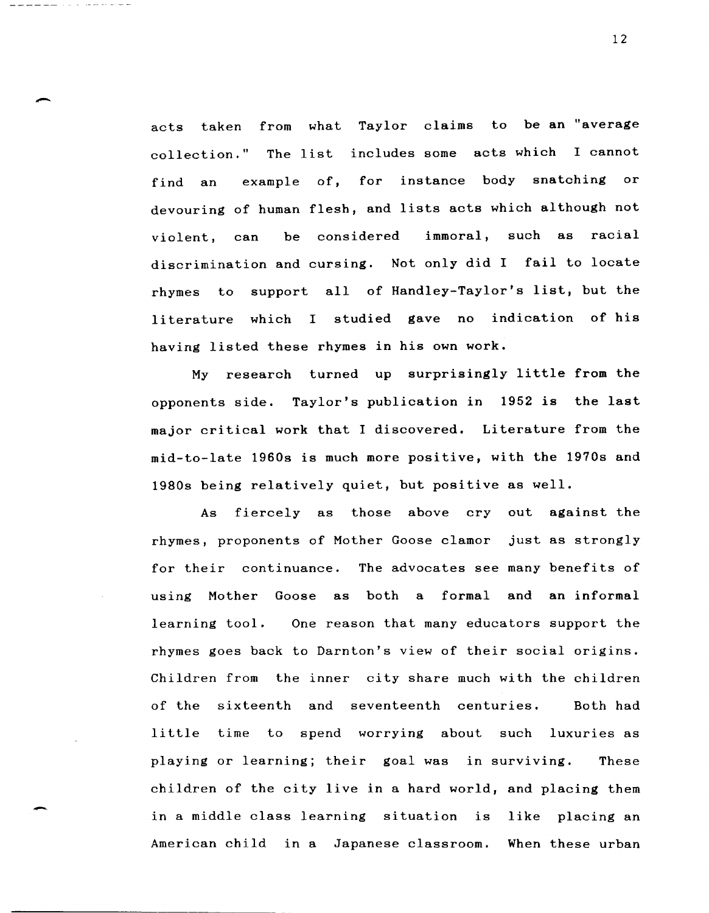acts taken from what Taylor claims to be an "average collection." The list includes some acts which I cannot find an example of, for instance body snatching or devouring of human flesh, and lists acts which although not violent, can be considered immoral, such as racial discrimination and cursing. Not only did I fail to locate rhymes to support all of Handley-Taylor's list, but the literature which I studied gave no indication of his having listed these rhymes in his own work.

-

-

My research turned up surprisingly little from the opponents side. Taylor's publication in 1952 is the last major critical work that I discovered. Literature from the mid-to-late 1960s is much more positive, with the 1970s and 19808 being relatively quiet, but positive as well.

As fiercely as those above cry out against the rhymes, proponents of Mother Goose clamor just as strongly for their continuance. The advocates see many benefits of using Mother Goose as both a formal and an informal learning tool. One reason that many educators support the rhymes goes back to Darnton's view of their social origins. Children from the inner city share much with the children of the sixteenth and seventeenth centuries. Both had little time to spend worrying about such luxuries as playing or learning; their goal was in surviving. These children of the city live in a hard world, and placing them in a middle class learning situation is like placing an American child in a Japanese classroom. When these urban

12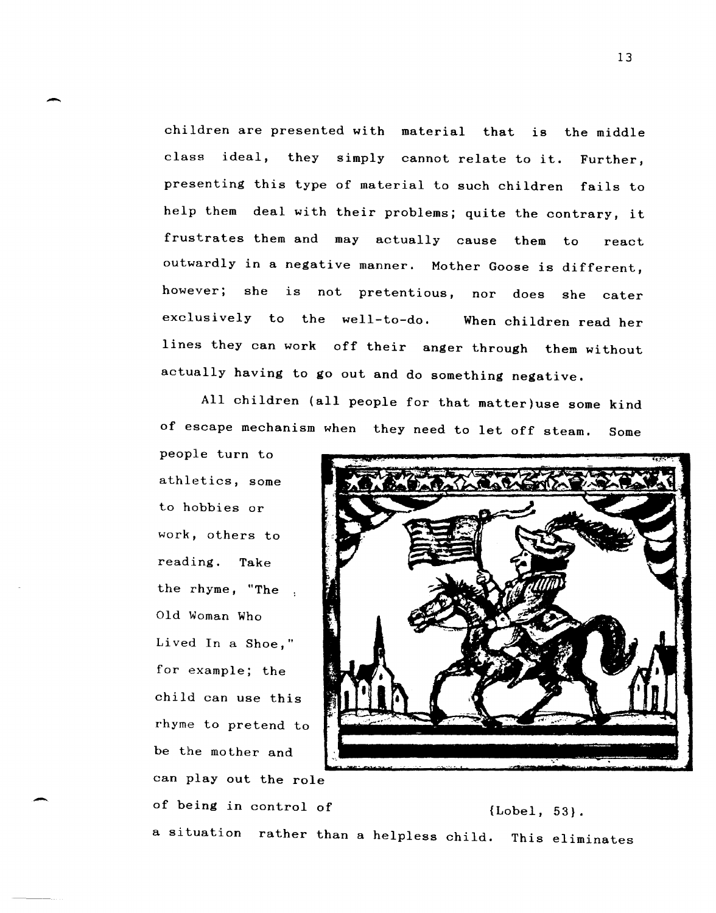children are presented with material that is the middle class ideal, they simply cannot relate to it. Further, presenting this type of material to such children fails to help them deal with their problems; quite the contrary, it frustrates them and may actually cause them to react outwardly in a negative manner. Mother Goose is different, however; she is not pretentious, nor does she cater exclusively to the well-to-do. When children read her lines they can work off their anger through them without actually having to go out and do something negative.

All children (all people for that matter)use some kind of escape mechanism when they need to let off steam. Some

people turn to athletics, some to hobbies or work, others to reading. Take the rhyme, "The Old Woman Who Lived In a Shoe," for example; the child can use this rhyme to pretend to be the mother and can play out the role

-

-



of being in control of  ${Lobel, 53}.$ a situation rather than a helpless child. This eliminates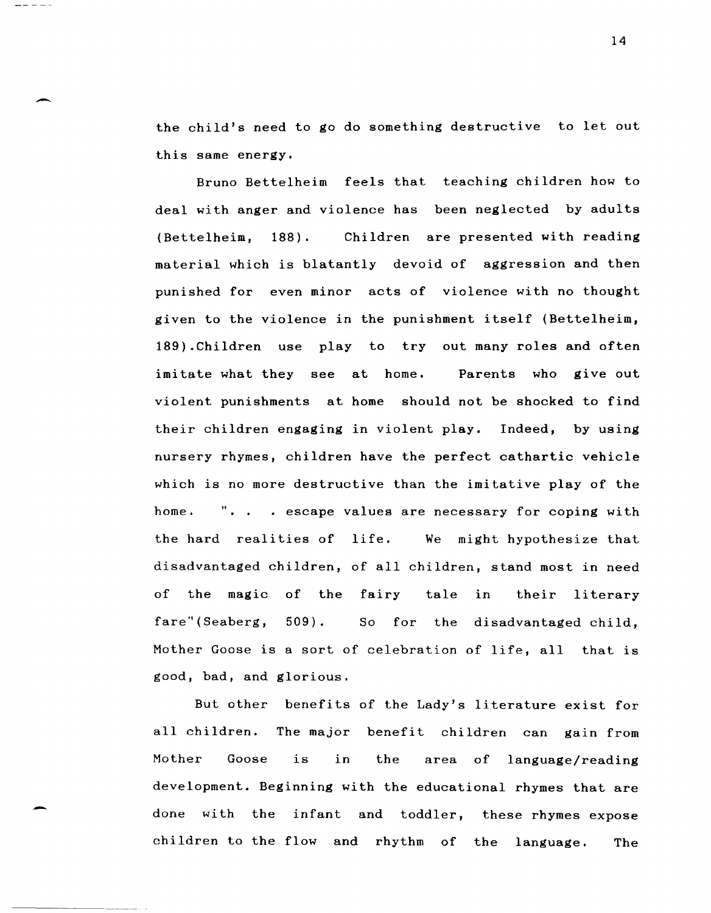the child's need to go do something destructive to let out this same energy.

-----

Bruno Bettelheim feels that teaching children how to deal with anger and violence has been neglected by adults (Bettelheim, 188). Children are presented with reading material which is blatantly devoid of aggression and then punished for even minor acts of violence with no thought given to the violence in the punishment itself (Bettelheim, 189).Children use play to tryout many roles and often imitate what they see at home. Parents who give out violent punishments at home should not be shocked to find their children engaging in violent play. Indeed, by using nursery rhymes, children have the perfect cathartic vehicle which is no more destructive than the imitative play of the home. ". . . escape values are necessary for coping with the hard realities of life. We might hypothesize that disadvantaged children, of all children, stand most in need of the magic of the fairy tale fare" (Seaberg, 509). So for the disadvantaged child, their literary Mother Goose is a sort of celebration of life, all that is good, bad, and glorious.

But other benefits of the Lady's literature exist for all children. The major benefit children can gain from Mother Goose is in the area of language/reading development. Beginning with the educational rhymes that are done with the infant and toddler, these rhymes expose children to the flow and rhythm of the language. The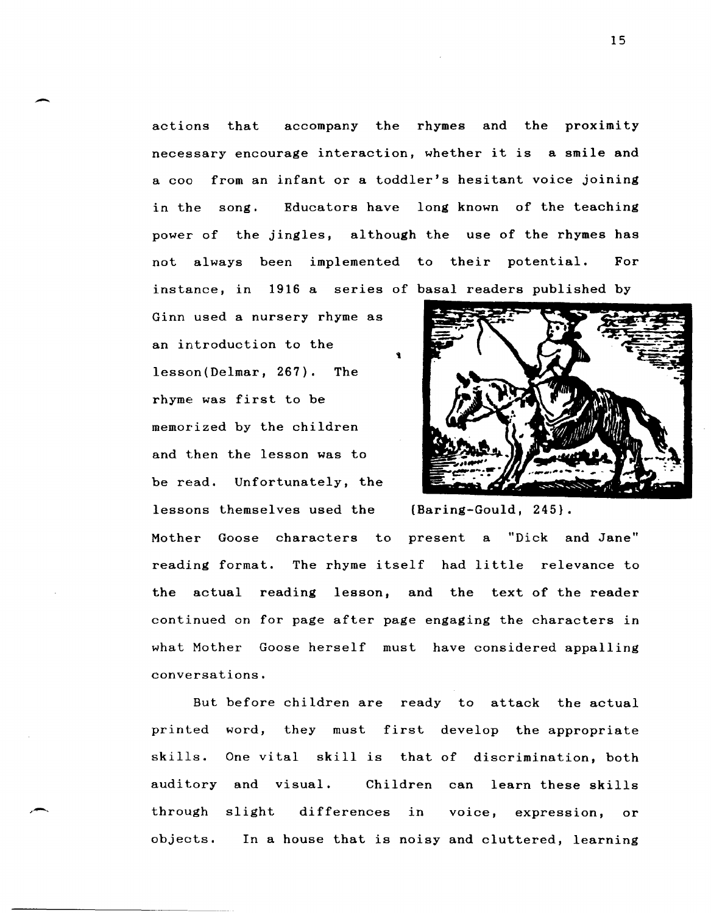actions that accompany the rhymes and the proximity necessary encourage interaction, whether it is a smile and a coo from an infant or a toddler's hesitant voice joining in the song. Educators have long known of the teaching power of the jingles, although the use of the rhymes has not always been implemented to their potential. For instance, in 1916 a series of basal readers published by

Ginn used a nursery rhyme as an introduction to the lesson(Delmar, 267). The rhyme was first to be memorized by the children and then the lesson was to be read. Unfortunately, the lessons themselves used the (Baring-Gould, 245}.

-

,-



Mother Goose characters to present a "Dick and Jane" reading format. The rhyme itself had little relevance to the actual reading lesson, and the text of the reader continued on for page after page engaging the characters in what Mother Goose herself must have considered appalling conversations.

But before children are ready to attack the actual printed word, they must first develop the appropriate skills. One vital skill is that of discrimination, both auditory and visual. Children can learn these skills through slight differences in voice, expression, or objects. In a house that is noisy and cluttered, learning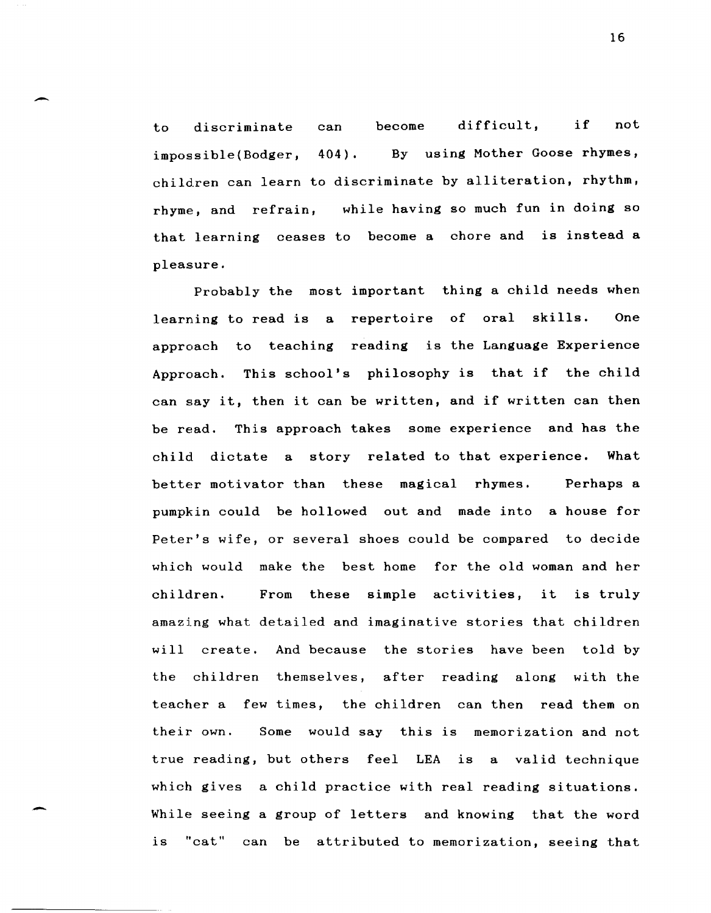to discriminate can become difficult, if not impossible(Bodger, 404). By using Mother Goose rhymes, children can learn to discriminate by alliteration, rhythm, rhyme, and refrain, while having so much fun in doing so that learning ceases to become a chore and is instead a pleasure.

-

Probably the most important thing a child needs when learning to read is a repertoire of oral skills. One approach to teaching reading is the Language Experience Approach. This school's philosophy is that if the child can say it, then it can be written, and if written can then be read. This approach takes some experience and has the child dictate a story related to that experience. What better motivator than these magical rhymes. Perhaps a pumpkin could be hollowed out and made into a house for Peter's wife, or several shoes could be compared to decide which would make the best home for the old woman and her children. From these simple activities, it is truly amazing what detailed and imaginative stories that children will create. And because the stories have been told by the children themselves, after reading along with the teacher a few times, the children can then read them on their own. Some would say this is memorization and not true reading, but others feel LEA is a valid technique which gives a child practice with real reading situations. While seeing a group of letters and knowing that the word is "cat" can be attributed to memorization, seeing that

16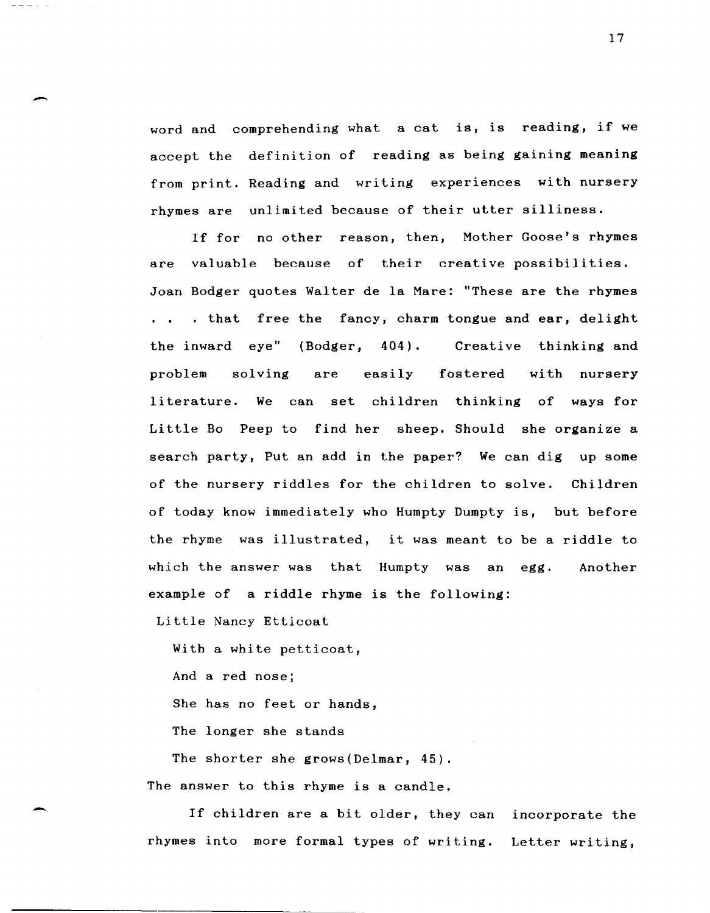word and comprehending what a cat is, is reading, if we accept the definition of reading as being gaining meaning from print. Reading and writing experiences with nursery rhymes are unlimited because of their utter silliness.

If for no other reason, then, Mother Goose's rhymes are valuable because of their creative possibilities. Joan Bodger quotes Walter de la Mare: "These are the rhymes ... that free the fancy, charm tongue and ear, delight the inward eye" (Bodger, 404). problem solving are easily Creative thinking and with nursery literature. We can set children thinking of ways for Little Bo Peep to find her sheep. Should she organize a search party, Put an add in the paper? We can dig up some of the nursery riddles for the children to solve. Children of today know immediately who Humpty Dumpty is, but before the rhyme was illustrated, it was meant to be a riddle to which the answer was that Humpty was an egg. Another example of a riddle rhyme is the following:

Little Nancy Etticoat

With a white petticoat,

And a red nose;

-

-.

She has no feet or hands,

The longer she stands

The shorter she grows(Delmar, 45).

The answer to this rhyme is a candle.

If children are a bit older, they can incorporate the rhymes into more formal types of writing. Letter writing,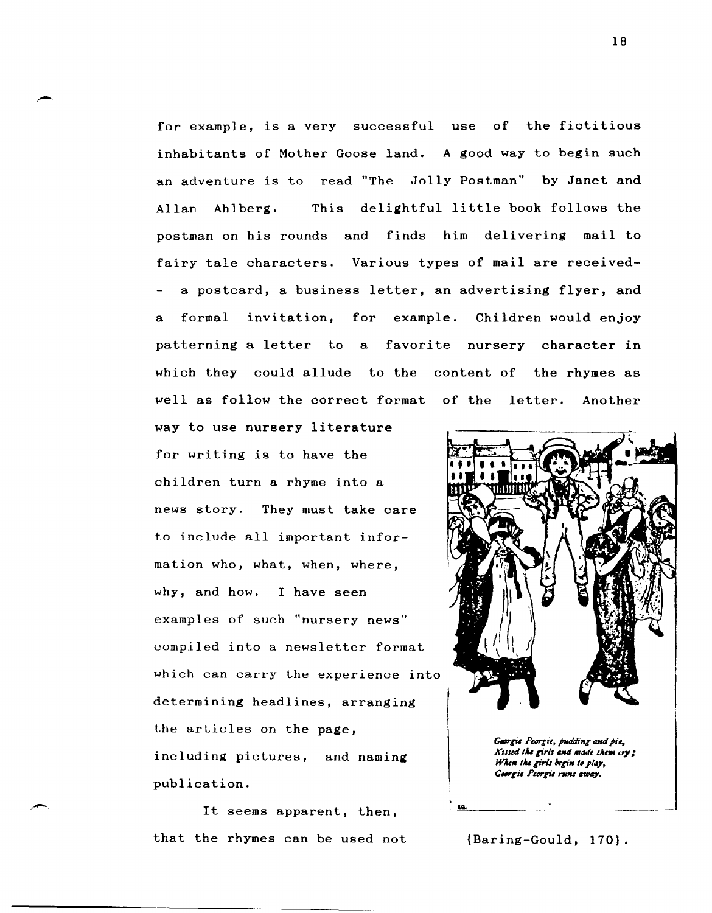for example, is a very successful use of the fictitious inhabitants of Mother Goose land. A good way to begin such an adventure is to read "The Jolly Postman" by Janet and Allan Ahlberg. This delightful little book follows the postman on his rounds and finds him delivering mail to fairy tale characters. Various types of mail are receiveda postcard, a business letter, an advertising flyer, and a formal invitation, for example. Children would enjoy patterning a letter to a favorite nursery character in which they could allude to the content of the rhymes as well as follow the correct format of the letter. Another

way to use nursery literature for writing is to have the children turn a rhyme into a news story. They must take care to include all important information who, what, when, where, why, and how. I have seen examples of such "nursery news" compiled into a newsletter format which can carry the experience into determining headlines, arranging the articles on the page, including pictures, and naming publication.

,-

It seems apparent, then, that the rhymes can be used not



Georgie Peorgie, pudding and pie, Kissed the girls and made them cry; When the girls begin to play, Georgie Peorgie runs away.

{Baring-Gould, 170}.

<u>..</u>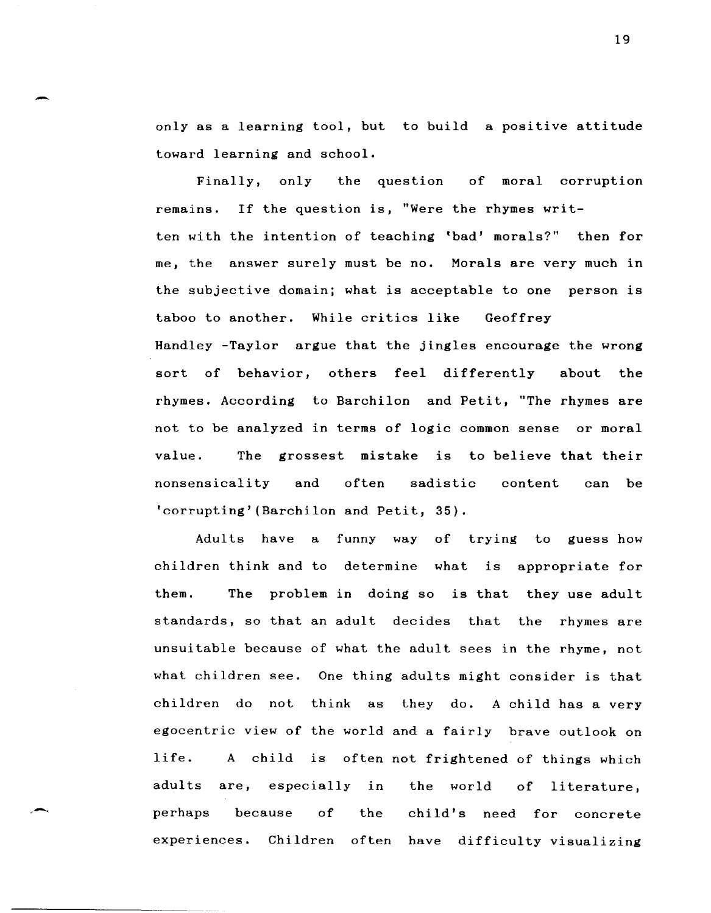only as a learning tool, but to build a positive attitude toward learning and school.

-

Finally, only the question of moral corruption remains. If the question is, "Were the rhymes written with the intention of teaching 'bad' morals?" then for me, the answer surely must be no. Morals are very much in the subjective domain; what is acceptable to one person is taboo to another. While critics like Geoffrey Handley -Taylor argue that the jingles encourage the wrong sort of behavior, others feel differently about the rhymes. According to Barchilon and Petit, "The rhymes are not to be analyzed in terms of logic common sense or moral value. The grossest mistake is to believe that their nonsensicality and often sadistic content can be 'corrupting' (Barchilon and Petit, 35).

Adults have a funny way of trying to guess how children think and to determine what is appropriate for them. standards, so that an adult decides that the rhymes are problem in doing so is that they use adult unsuitable because of what the adult sees in the rhyme, not what children see. One thing adults might consider is that children do not think as they do. A child has a very egocentric view of the world and a fairly brave outlook on life. A child is often not frightened of things which adults are, especially in the world of literature, perhaps because of the child's need for concrete experiences. Children often have difficulty visualizing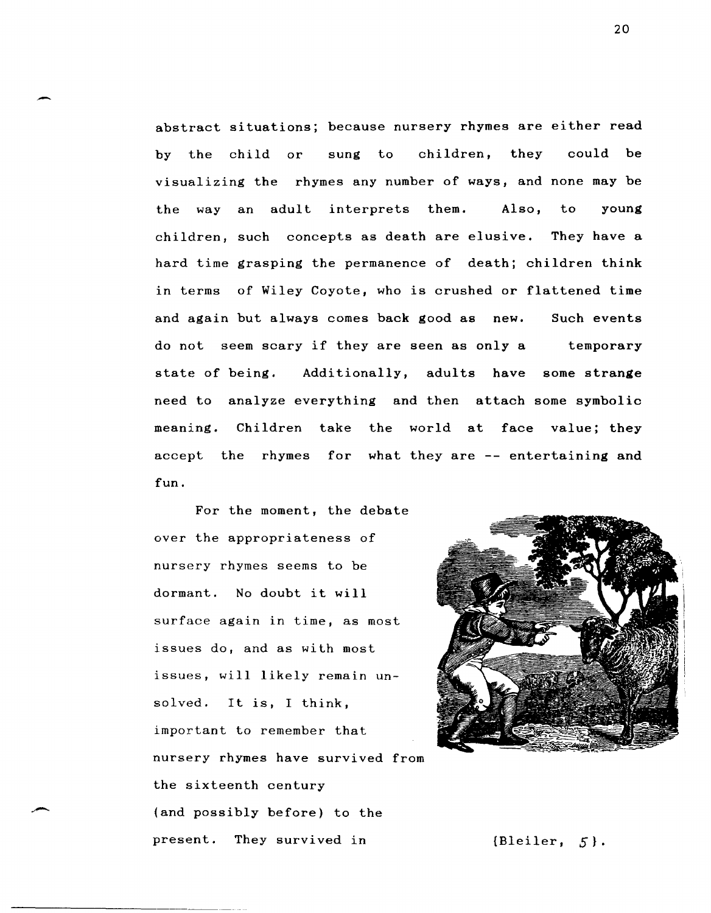abstract situations; because nursery rhymes are either read by the child or sung to children, they could be visualizing the rhymes any number of ways, and none may be the wayan adult interprets them. Also, to young children, such concepts as death are elusive. They have a hard time grasping the permanence of death; children think in terms of Wiley Coyote, who is crushed or flattened time and again but always comes back good as new. do not seem scary if they are seen as only a Such events temporary state of being. Additionally, adults have some strange need to analyze everything and then attach some symbolic meaning. Children take the world at face value; they accept the rhymes for what they are -- entertaining and fun.

For the moment, the debate over the appropriateness of nursery rhymes seems to be dormant. No doubt it will surface again in time, as most issues do, and as with most issues, will likely remain unsolved. It is, I think, important to remember that nursery rhymes have survived from the sixteenth century (and possibly before) to the present. They survived in [Bleiler, 5].

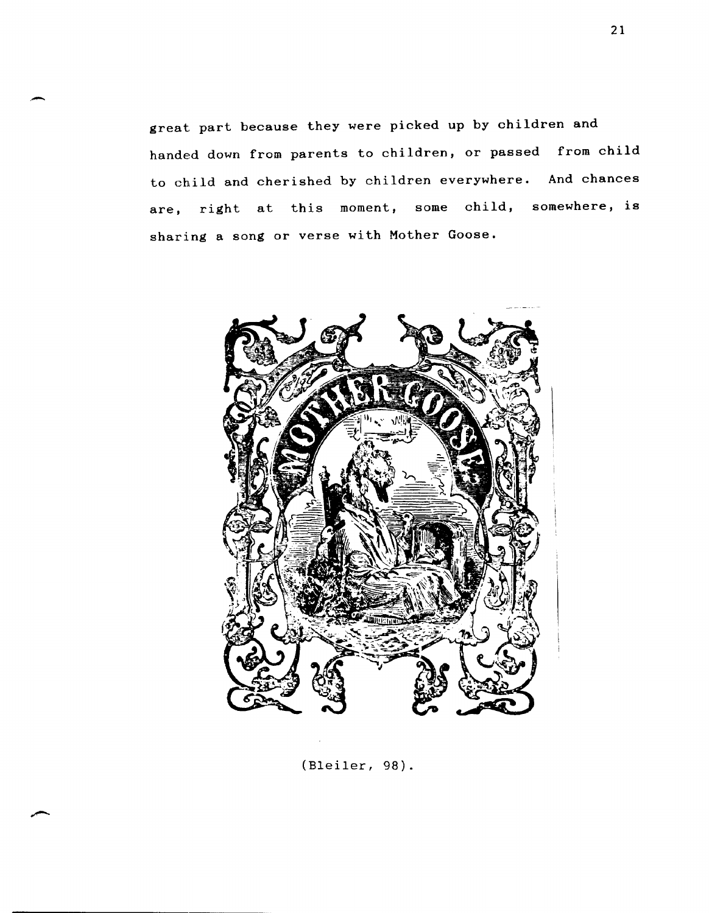great part because they were picked up by children and handed down from parents to children, or passed from child to child and cherished by children everywhere. And chances are, right at this moment, some child, somewhere, is sharing a song or verse with Mother Goose.

,-



(Bleiler, 98).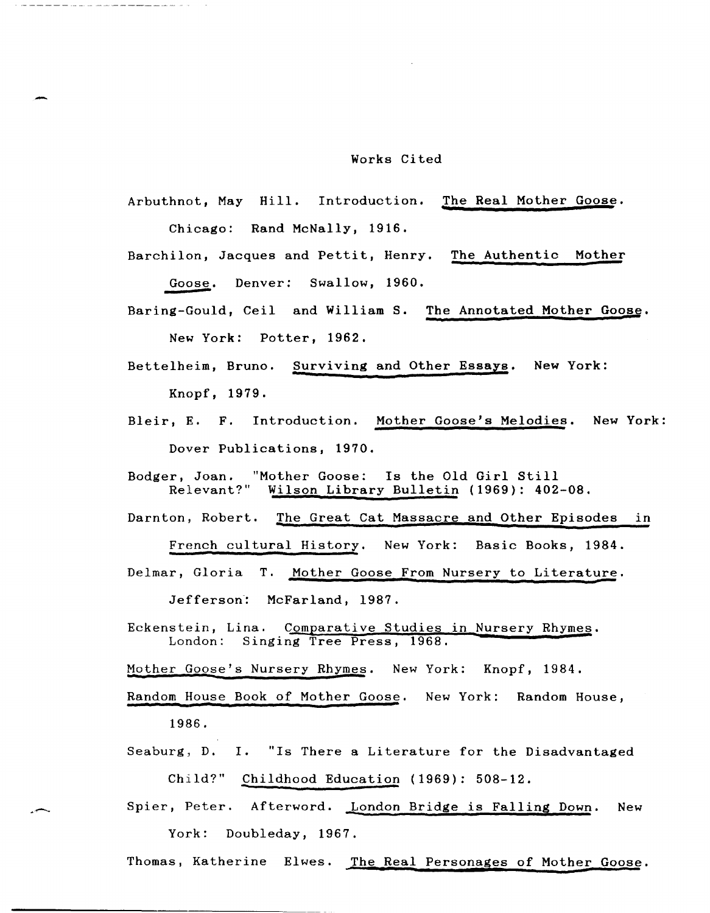## Works Cited

Arbuthnot, May Hill. Introduction. The Real Mother Goose. **<sup>t</sup>** Chicago: Rand McNally, 1916.

-

Barchilon, Jacques and Pettit, Henry. The Authentic Mother Goose. Denver: Swallow, 1960.

- Baring-Gould, Ceil and William S. The Annotated Mother Goose.<br>**New York: Potter, 1962.**
- Bettelheim, Bruno. Surviving and Other Essays. New York: Knopf, 1979.
- Bleir, E. F. Introduction. Mother Goose's Melodies. New York: Dover Publications, 1970.

Bodger, Joan. "Mother Goose: Is the Old Girl Still Relevant?" Wilson Library Bulletin (1969): 402-08.

Darnton, Robert. The Great Cat Massacre and Other Episodes in

French cultural History. New York: Basic Books, 1984.

Delmar, Gloria T. Mother Goose From Nursery to Literature. Jefferson: McFarland, 1987.

Eckenstein, Lina. Comparative Studies in Nursery Rhymes. London: Singing Tree Press, 1968.

Mother Goose's Nursery Rhymes. New York: Knopf, 1984.

Random House Book of Mother Goose. New York: Random House, 1986.

Seaburg, D. 1. "Is There a Literature for the Disadvantaged

Child?" Childhood Education (1969): 508-12.<br>**Spier, Peter.** Afterword. <u>London Bridge is Falling Down</u>. New York: Doubleday, 1967.

Thomas, Katherine Elwes. The Real Personages of Mother Goose.